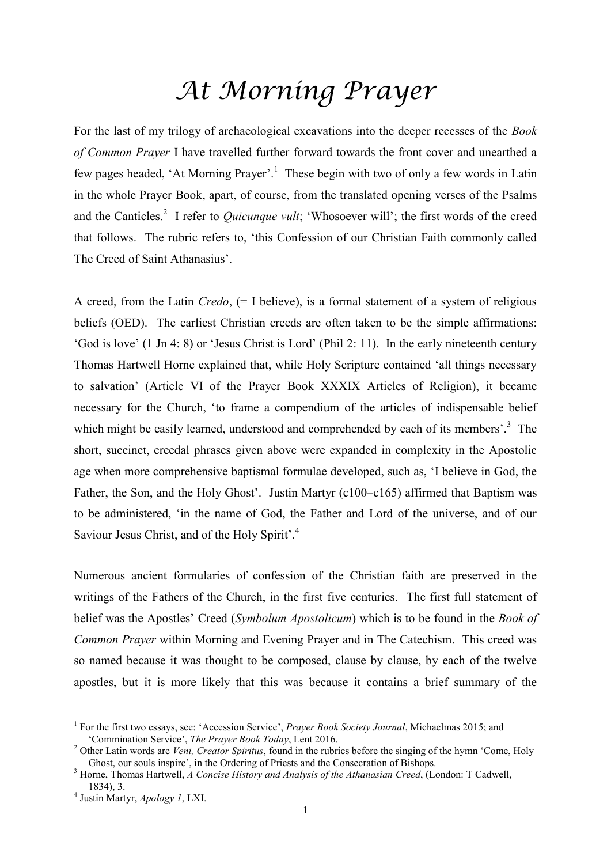## *At Morning Prayer*

For the last of my trilogy of archaeological excavations into the deeper recesses of the *Book of Common Prayer* I have travelled further forward towards the front cover and unearthed a few pages headed, 'At Morning Prayer'.<sup>1</sup> These begin with two of only a few words in Latin in the whole Prayer Book, apart, of course, from the translated opening verses of the Psalms and the Canticles.<sup>2</sup> I refer to *Quicunque vult*; 'Whosoever will'; the first words of the creed that follows. The rubric refers to, 'this Confession of our Christian Faith commonly called The Creed of Saint Athanasius'.

A creed, from the Latin *Credo*, (= I believe), is a formal statement of a system of religious beliefs (OED). The earliest Christian creeds are often taken to be the simple affirmations: 'God is love' (1 Jn 4: 8) or 'Jesus Christ is Lord' (Phil 2: 11). In the early nineteenth century Thomas Hartwell Horne explained that, while Holy Scripture contained 'all things necessary to salvation' (Article VI of the Prayer Book XXXIX Articles of Religion), it became necessary for the Church, 'to frame a compendium of the articles of indispensable belief which might be easily learned, understood and comprehended by each of its members'.<sup>3</sup> The short, succinct, creedal phrases given above were expanded in complexity in the Apostolic age when more comprehensive baptismal formulae developed, such as, 'I believe in God, the Father, the Son, and the Holy Ghost'. Justin Martyr (c100–c165) affirmed that Baptism was to be administered, 'in the name of God, the Father and Lord of the universe, and of our Saviour Jesus Christ, and of the Holy Spirit'.<sup>4</sup>

Numerous ancient formularies of confession of the Christian faith are preserved in the writings of the Fathers of the Church, in the first five centuries. The first full statement of belief was the Apostles' Creed (*Symbolum Apostolicum*) which is to be found in the *Book of Common Prayer* within Morning and Evening Prayer and in The Catechism. This creed was so named because it was thought to be composed, clause by clause, by each of the twelve apostles, but it is more likely that this was because it contains a brief summary of the

-

<sup>&</sup>lt;sup>1</sup> For the first two essays, see: 'Accession Service', *Prayer Book Society Journal*, Michaelmas 2015; and 'Commination Service', *The Prayer Book Today*, Lent 2016.

<sup>2</sup> Other Latin words are *Veni, Creator Spiritus*, found in the rubrics before the singing of the hymn 'Come, Holy Ghost, our souls inspire', in the Ordering of Priests and the Consecration of Bishops.

<sup>3</sup> Horne, Thomas Hartwell, *A Concise History and Analysis of the Athanasian Creed*, (London: T Cadwell, 1834), 3.

<sup>4</sup> Justin Martyr, *Apology 1*, LXI.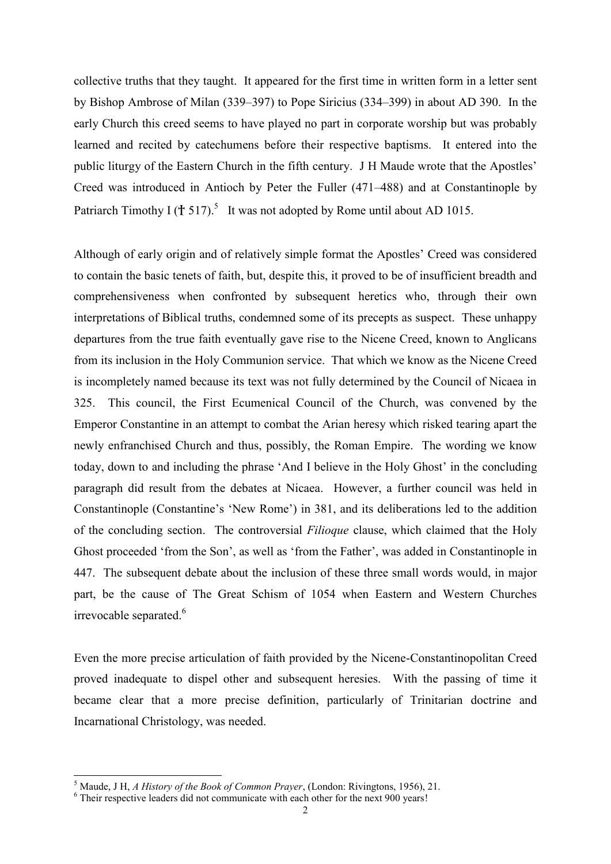collective truths that they taught. It appeared for the first time in written form in a letter sent by Bishop Ambrose of Milan (339–397) to Pope Siricius (334–399) in about AD 390. In the early Church this creed seems to have played no part in corporate worship but was probably learned and recited by catechumens before their respective baptisms. It entered into the public liturgy of the Eastern Church in the fifth century. J H Maude wrote that the Apostles' Creed was introduced in Antioch by Peter the Fuller (471–488) and at Constantinople by Patriarch Timothy I ( $\uparrow$  517).<sup>5</sup> It was not adopted by Rome until about AD 1015.

Although of early origin and of relatively simple format the Apostles' Creed was considered to contain the basic tenets of faith, but, despite this, it proved to be of insufficient breadth and comprehensiveness when confronted by subsequent heretics who, through their own interpretations of Biblical truths, condemned some of its precepts as suspect. These unhappy departures from the true faith eventually gave rise to the Nicene Creed, known to Anglicans from its inclusion in the Holy Communion service. That which we know as the Nicene Creed is incompletely named because its text was not fully determined by the Council of Nicaea in 325. This council, the First Ecumenical Council of the Church, was convened by the Emperor Constantine in an attempt to combat the Arian heresy which risked tearing apart the newly enfranchised Church and thus, possibly, the Roman Empire. The wording we know today, down to and including the phrase 'And I believe in the Holy Ghost' in the concluding paragraph did result from the debates at Nicaea. However, a further council was held in Constantinople (Constantine's 'New Rome') in 381, and its deliberations led to the addition of the concluding section. The controversial *Filioque* clause, which claimed that the Holy Ghost proceeded 'from the Son', as well as 'from the Father', was added in Constantinople in 447. The subsequent debate about the inclusion of these three small words would, in major part, be the cause of The Great Schism of 1054 when Eastern and Western Churches irrevocable separated.<sup>6</sup>

Even the more precise articulation of faith provided by the Nicene-Constantinopolitan Creed proved inadequate to dispel other and subsequent heresies. With the passing of time it became clear that a more precise definition, particularly of Trinitarian doctrine and Incarnational Christology, was needed.

1

<sup>5</sup> Maude, J H, *A History of the Book of Common Prayer*, (London: Rivingtons, 1956), 21.

<sup>&</sup>lt;sup>6</sup> Their respective leaders did not communicate with each other for the next 900 years!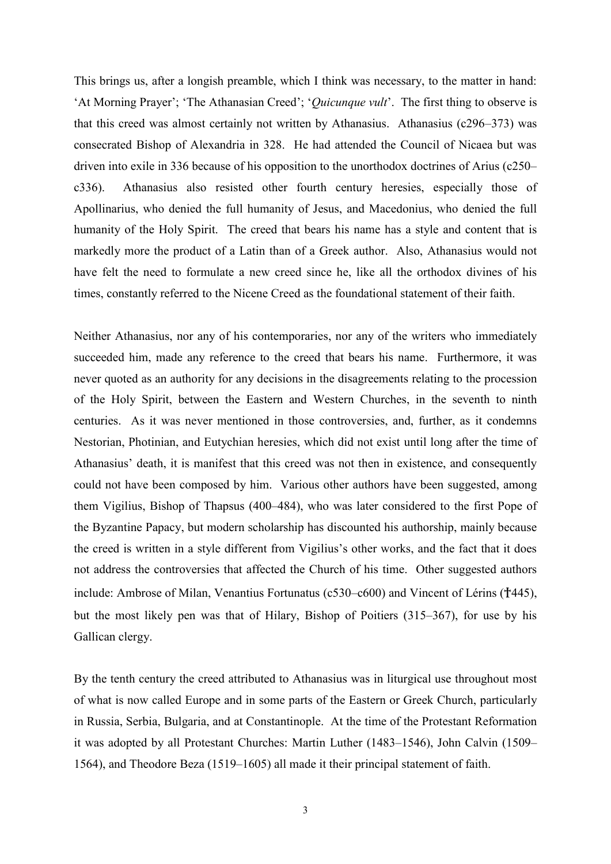This brings us, after a longish preamble, which I think was necessary, to the matter in hand: 'At Morning Prayer'; 'The Athanasian Creed'; '*Quicunque vult*'. The first thing to observe is that this creed was almost certainly not written by Athanasius. Athanasius (c296–373) was consecrated Bishop of Alexandria in 328. He had attended the Council of Nicaea but was driven into exile in 336 because of his opposition to the unorthodox doctrines of Arius (c250– c336). Athanasius also resisted other fourth century heresies, especially those of Apollinarius, who denied the full humanity of Jesus, and Macedonius, who denied the full humanity of the Holy Spirit. The creed that bears his name has a style and content that is markedly more the product of a Latin than of a Greek author. Also, Athanasius would not have felt the need to formulate a new creed since he, like all the orthodox divines of his times, constantly referred to the Nicene Creed as the foundational statement of their faith.

Neither Athanasius, nor any of his contemporaries, nor any of the writers who immediately succeeded him, made any reference to the creed that bears his name. Furthermore, it was never quoted as an authority for any decisions in the disagreements relating to the procession of the Holy Spirit, between the Eastern and Western Churches, in the seventh to ninth centuries. As it was never mentioned in those controversies, and, further, as it condemns Nestorian, Photinian, and Eutychian heresies, which did not exist until long after the time of Athanasius' death, it is manifest that this creed was not then in existence, and consequently could not have been composed by him. Various other authors have been suggested, among them Vigilius, Bishop of Thapsus (400–484), who was later considered to the first Pope of the Byzantine Papacy, but modern scholarship has discounted his authorship, mainly because the creed is written in a style different from Vigilius's other works, and the fact that it does not address the controversies that affected the Church of his time. Other suggested authors include: Ambrose of Milan, Venantius Fortunatus (c530–c600) and Vincent of Lérins (†445), but the most likely pen was that of Hilary, Bishop of Poitiers (315–367), for use by his Gallican clergy.

By the tenth century the creed attributed to Athanasius was in liturgical use throughout most of what is now called Europe and in some parts of the Eastern or Greek Church, particularly in Russia, Serbia, Bulgaria, and at Constantinople. At the time of the Protestant Reformation it was adopted by all Protestant Churches: Martin Luther (1483–1546), John Calvin (1509– 1564), and Theodore Beza (1519–1605) all made it their principal statement of faith.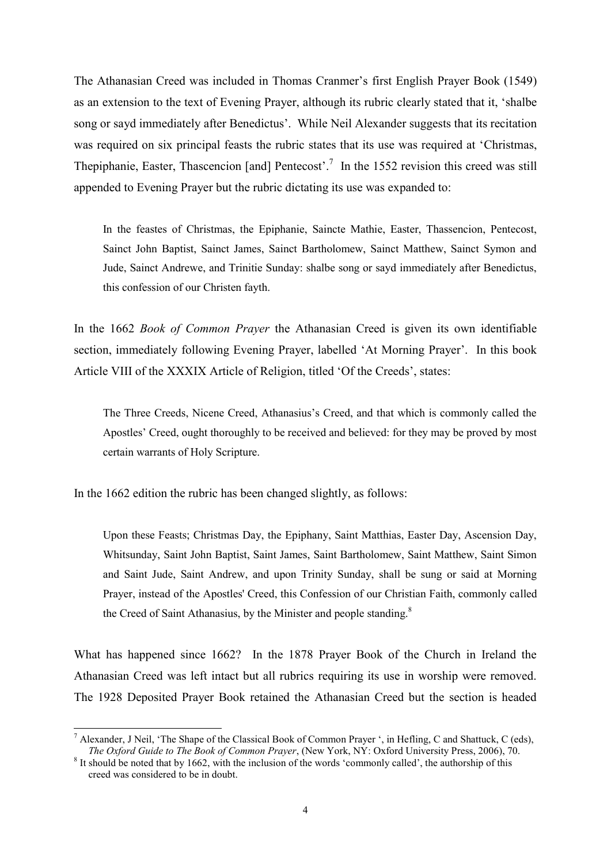The Athanasian Creed was included in Thomas Cranmer's first English Prayer Book (1549) as an extension to the text of Evening Prayer, although its rubric clearly stated that it, 'shalbe song or sayd immediately after Benedictus'. While Neil Alexander suggests that its recitation was required on six principal feasts the rubric states that its use was required at 'Christmas, Thepiphanie, Easter, Thascencion [and] Pentecost'.<sup>7</sup> In the 1552 revision this creed was still appended to Evening Prayer but the rubric dictating its use was expanded to:

In the feastes of Christmas, the Epiphanie, Saincte Mathie, Easter, Thassencion, Pentecost, Sainct John Baptist, Sainct James, Sainct Bartholomew, Sainct Matthew, Sainct Symon and Jude, Sainct Andrewe, and Trinitie Sunday: shalbe song or sayd immediately after Benedictus, this confession of our Christen fayth.

In the 1662 *Book of Common Prayer* the Athanasian Creed is given its own identifiable section, immediately following Evening Prayer, labelled 'At Morning Prayer'. In this book Article VIII of the XXXIX Article of Religion, titled 'Of the Creeds', states:

The Three Creeds, Nicene Creed, Athanasius's Creed, and that which is commonly called the Apostles' Creed, ought thoroughly to be received and believed: for they may be proved by most certain warrants of Holy Scripture.

In the 1662 edition the rubric has been changed slightly, as follows:

1

Upon these Feasts; Christmas Day, the Epiphany, Saint Matthias, Easter Day, Ascension Day, Whitsunday, Saint John Baptist, Saint James, Saint Bartholomew, Saint Matthew, Saint Simon and Saint Jude, Saint Andrew, and upon Trinity Sunday, shall be sung or said at Morning Prayer, instead of the Apostles' Creed, this Confession of our Christian Faith, commonly called the Creed of Saint Athanasius, by the Minister and people standing.<sup>8</sup>

What has happened since 1662? In the 1878 Prayer Book of the Church in Ireland the Athanasian Creed was left intact but all rubrics requiring its use in worship were removed. The 1928 Deposited Prayer Book retained the Athanasian Creed but the section is headed

<sup>&</sup>lt;sup>7</sup> Alexander, J Neil, 'The Shape of the Classical Book of Common Prayer ', in Hefling, C and Shattuck, C (eds), *The Oxford Guide to The Book of Common Prayer*, (New York, NY: Oxford University Press, 2006), 70.

<sup>&</sup>lt;sup>8</sup> It should be noted that by 1662, with the inclusion of the words 'commonly called', the authorship of this creed was considered to be in doubt.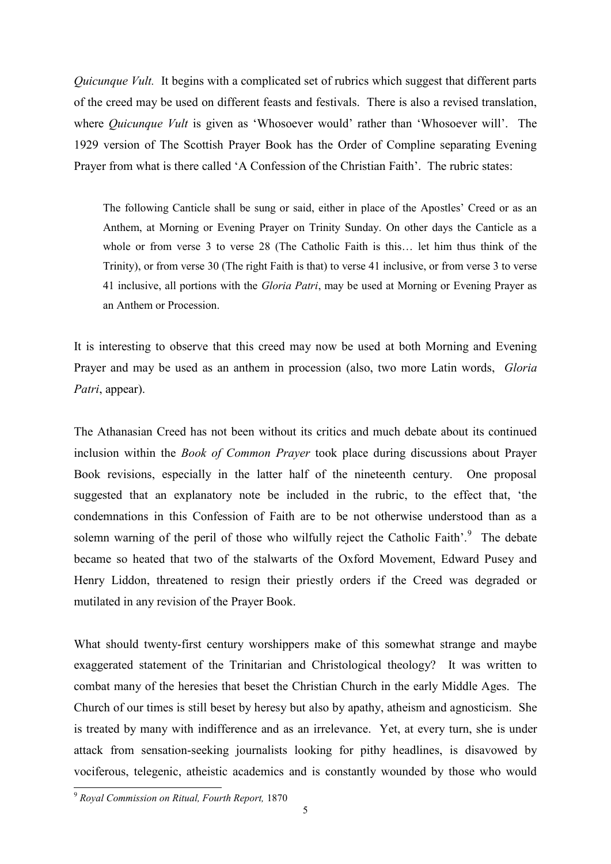*Quicunque Vult.* It begins with a complicated set of rubrics which suggest that different parts of the creed may be used on different feasts and festivals. There is also a revised translation, where *Quicunque Vult* is given as 'Whosoever would' rather than 'Whosoever will'. The 1929 version of The Scottish Prayer Book has the Order of Compline separating Evening Prayer from what is there called 'A Confession of the Christian Faith'. The rubric states:

The following Canticle shall be sung or said, either in place of the Apostles' Creed or as an Anthem, at Morning or Evening Prayer on Trinity Sunday. On other days the Canticle as a whole or from verse 3 to verse 28 (The Catholic Faith is this… let him thus think of the Trinity), or from verse 30 (The right Faith is that) to verse 41 inclusive, or from verse 3 to verse 41 inclusive, all portions with the *Gloria Patri*, may be used at Morning or Evening Prayer as an Anthem or Procession.

It is interesting to observe that this creed may now be used at both Morning and Evening Prayer and may be used as an anthem in procession (also, two more Latin words, *Gloria Patri*, appear).

The Athanasian Creed has not been without its critics and much debate about its continued inclusion within the *Book of Common Prayer* took place during discussions about Prayer Book revisions, especially in the latter half of the nineteenth century. One proposal suggested that an explanatory note be included in the rubric, to the effect that, 'the condemnations in this Confession of Faith are to be not otherwise understood than as a solemn warning of the peril of those who wilfully reject the Catholic Faith'.<sup>9</sup> The debate became so heated that two of the stalwarts of the Oxford Movement, Edward Pusey and Henry Liddon, threatened to resign their priestly orders if the Creed was degraded or mutilated in any revision of the Prayer Book.

What should twenty-first century worshippers make of this somewhat strange and maybe exaggerated statement of the Trinitarian and Christological theology? It was written to combat many of the heresies that beset the Christian Church in the early Middle Ages. The Church of our times is still beset by heresy but also by apathy, atheism and agnosticism. She is treated by many with indifference and as an irrelevance. Yet, at every turn, she is under attack from sensation-seeking journalists looking for pithy headlines, is disavowed by vociferous, telegenic, atheistic academics and is constantly wounded by those who would

-

<sup>9</sup> *Royal Commission on Ritual, Fourth Report,* 1870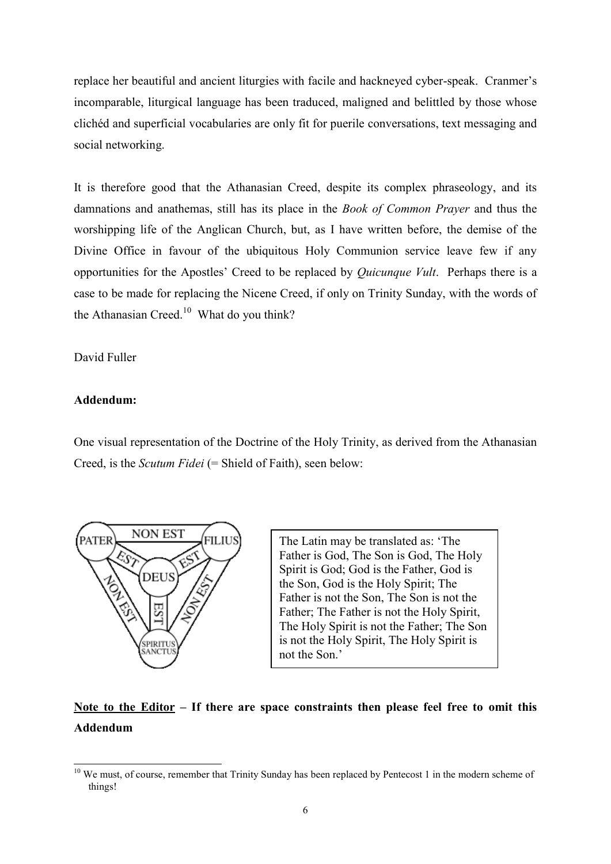replace her beautiful and ancient liturgies with facile and hackneyed cyber-speak. Cranmer's incomparable, liturgical language has been traduced, maligned and belittled by those whose clichéd and superficial vocabularies are only fit for puerile conversations, text messaging and social networking.

It is therefore good that the Athanasian Creed, despite its complex phraseology, and its damnations and anathemas, still has its place in the *Book of Common Prayer* and thus the worshipping life of the Anglican Church, but, as I have written before, the demise of the Divine Office in favour of the ubiquitous Holy Communion service leave few if any opportunities for the Apostles' Creed to be replaced by *Quicunque Vult*. Perhaps there is a case to be made for replacing the Nicene Creed, if only on Trinity Sunday, with the words of the Athanasian Creed.<sup>10</sup> What do you think?

David Fuller

## **Addendum:**

 $\overline{a}$ 

One visual representation of the Doctrine of the Holy Trinity, as derived from the Athanasian Creed, is the *Scutum Fidei* (= Shield of Faith), seen below:



The Latin may be translated as: 'The Father is God, The Son is God, The Holy Spirit is God; God is the Father, God is the Son, God is the Holy Spirit; The Father is not the Son, The Son is not the Father; The Father is not the Holy Spirit, The Holy Spirit is not the Father; The Son is not the Holy Spirit, The Holy Spirit is not the Son.'

## **Note to the Editor – If there are space constraints then please feel free to omit this Addendum**

<sup>&</sup>lt;sup>10</sup> We must, of course, remember that Trinity Sunday has been replaced by Pentecost 1 in the modern scheme of things!